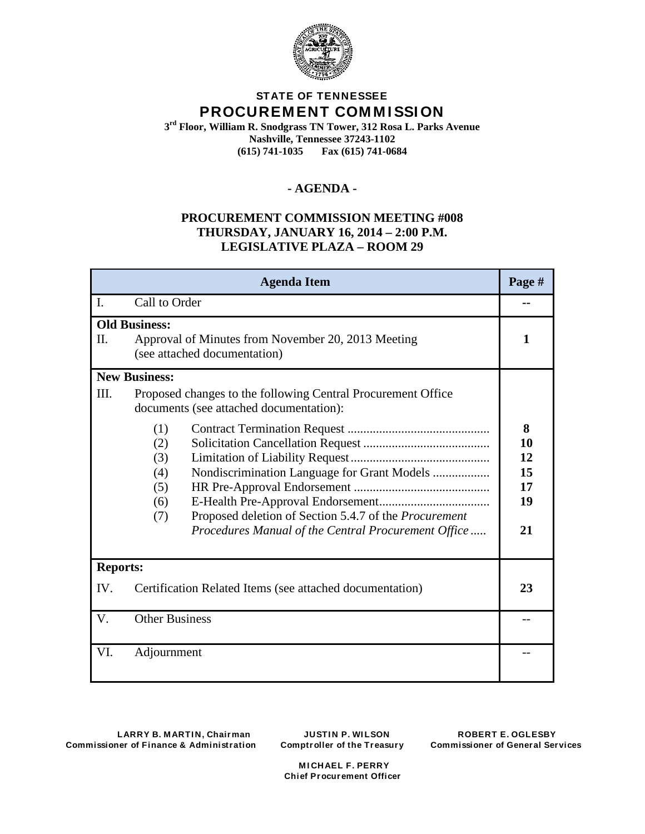

# **STATE OF TENNESSEE PROCUREM ENT COM M I SSI ON**

**3rd Floor, William R. Snodgrass TN Tower, 312 Rosa L. Parks Avenue Nashville, Tennessee 37243-1102**<br>(615) 741-1035 **Fax** (615) 741-06 **(615) 741-1035 Fax (615) 741-0684**

## **- AGENDA -**

## **PROCUREMENT COMMISSION MEETING #008 THURSDAY, JANUARY 16, 2014 – 2:00 P.M. LEGISLATIVE PLAZA – ROOM 29**

| <b>Agenda Item</b>                                                                                                |                                                                                                                                                                                                                                                                                                                         |                                       |
|-------------------------------------------------------------------------------------------------------------------|-------------------------------------------------------------------------------------------------------------------------------------------------------------------------------------------------------------------------------------------------------------------------------------------------------------------------|---------------------------------------|
| $\mathbf{I}$ .                                                                                                    | Call to Order                                                                                                                                                                                                                                                                                                           |                                       |
| <b>Old Business:</b><br>II.<br>Approval of Minutes from November 20, 2013 Meeting<br>(see attached documentation) |                                                                                                                                                                                                                                                                                                                         | 1                                     |
|                                                                                                                   | <b>New Business:</b>                                                                                                                                                                                                                                                                                                    |                                       |
| III.                                                                                                              | Proposed changes to the following Central Procurement Office<br>documents (see attached documentation):<br>(1)<br>(2)<br>(3)<br>Nondiscrimination Language for Grant Models<br>(4)<br>(5)<br>(6)<br>Proposed deletion of Section 5.4.7 of the Procurement<br>(7)<br>Procedures Manual of the Central Procurement Office | 8<br>10<br>12<br>15<br>17<br>19<br>21 |
| <b>Reports:</b>                                                                                                   |                                                                                                                                                                                                                                                                                                                         |                                       |
| IV.<br>Certification Related Items (see attached documentation)                                                   |                                                                                                                                                                                                                                                                                                                         | 23                                    |
| <b>Other Business</b><br>V.                                                                                       |                                                                                                                                                                                                                                                                                                                         |                                       |
| VI.                                                                                                               | Adjournment                                                                                                                                                                                                                                                                                                             |                                       |

 **M I CHAEL F. PERRY Chief Procurement Officer**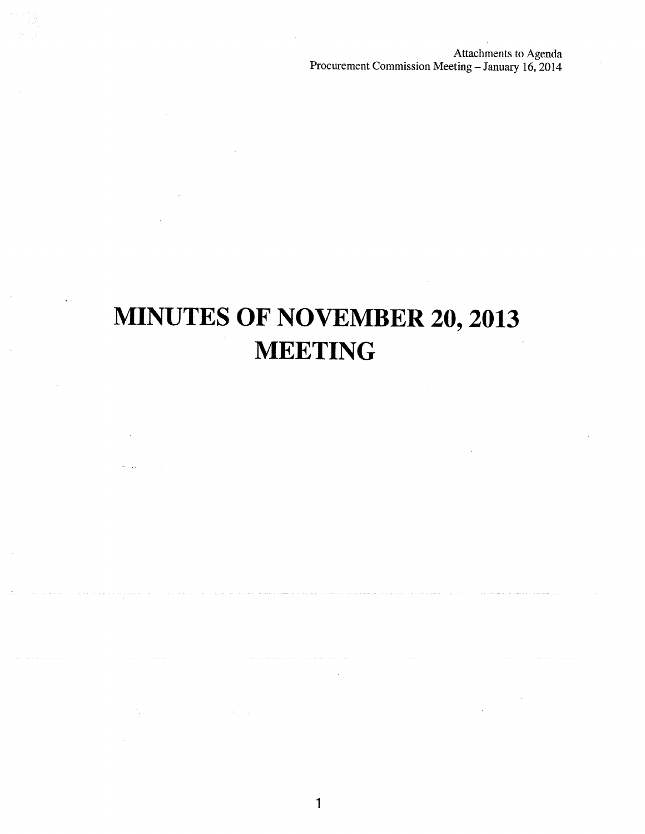Attachments to Agenda Procurement Commission Meeting - January 16, 2014

# **MINUTES OF NOVEMBER 20, 2013 MEETING**

 $\mathbf{1}$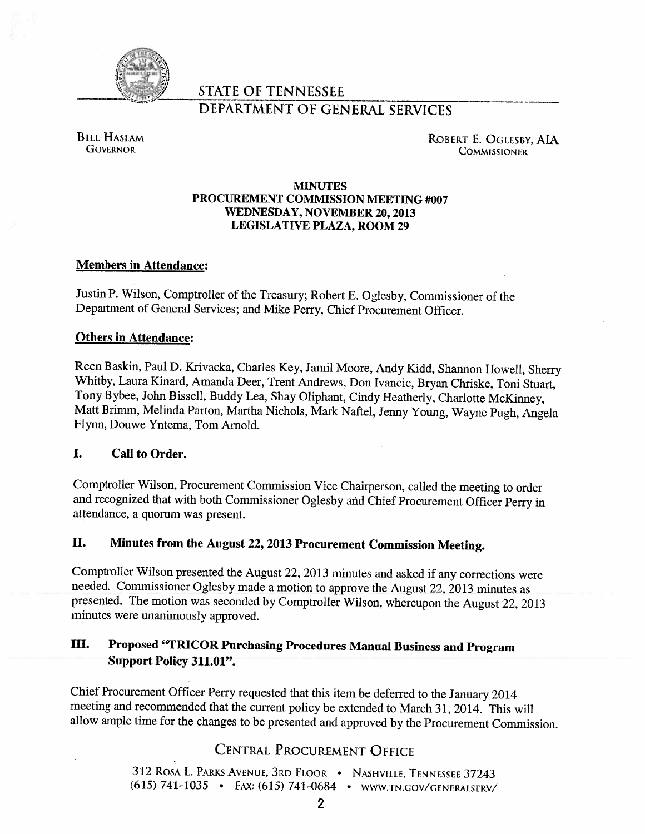

# **STATE OF TENNESSEE**

# **DEPARTMENT OF GENERAL SERVICES**

**BILL HASLAM GOVERNOR** 

ROBERT E. OGLESBY, AIA **COMMISSIONER** 

## **MINUTES** PROCUREMENT COMMISSION MEETING #007 **WEDNESDAY, NOVEMBER 20, 2013 LEGISLATIVE PLAZA, ROOM 29**

## **Members in Attendance:**

Justin P. Wilson, Comptroller of the Treasury; Robert E. Oglesby, Commissioner of the Department of General Services; and Mike Perry, Chief Procurement Officer.

## **Others in Attendance:**

Reen Baskin, Paul D. Krivacka, Charles Key, Jamil Moore, Andy Kidd, Shannon Howell, Sherry Whitby, Laura Kinard, Amanda Deer, Trent Andrews, Don Ivancic, Bryan Chriske, Toni Stuart, Tony Bybee, John Bissell, Buddy Lea, Shay Oliphant, Cindy Heatherly, Charlotte McKinney, Matt Brimm, Melinda Parton, Martha Nichols, Mark Naftel, Jenny Young, Wayne Pugh, Angela Flynn, Douwe Yntema, Tom Arnold.

### L. **Call to Order.**

Comptroller Wilson, Procurement Commission Vice Chairperson, called the meeting to order and recognized that with both Commissioner Oglesby and Chief Procurement Officer Perry in attendance, a quorum was present.

### П. Minutes from the August 22, 2013 Procurement Commission Meeting.

Comptroller Wilson presented the August 22, 2013 minutes and asked if any corrections were needed. Commissioner Oglesby made a motion to approve the August 22, 2013 minutes as presented. The motion was seconded by Comptroller Wilson, whereupon the August 22, 2013 minutes were unanimously approved.

### Ш. Proposed "TRICOR Purchasing Procedures Manual Business and Program Support Policy 311.01".

Chief Procurement Officer Perry requested that this item be deferred to the January 2014 meeting and recommended that the current policy be extended to March 31, 2014. This will allow ample time for the changes to be presented and approved by the Procurement Commission.

# **CENTRAL PROCUREMENT OFFICE**

312 ROSA L. PARKS AVENUE, 3RD FLOOR · NASHVILLE, TENNESSEE 37243 (615) 741-1035 · FAX: (615) 741-0684 · WWW.TN.GOV/GENERALSERV/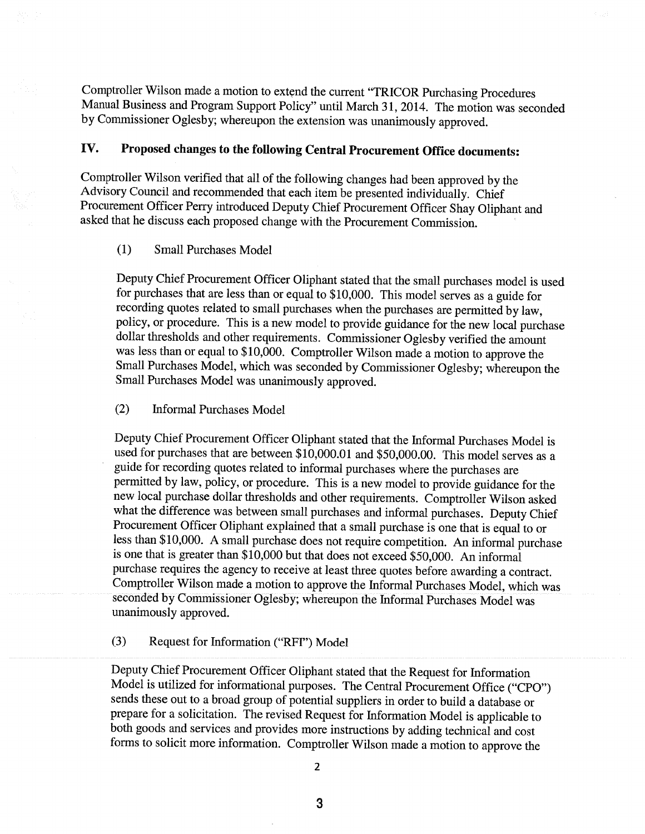Comptroller Wilson made a motion to extend the current "TRICOR Purchasing Procedures Manual Business and Program Support Policy" until March 31, 2014. The motion was seconded by Commissioner Oglesby; whereupon the extension was unanimously approved.

### Proposed changes to the following Central Procurement Office documents: IV.

Comptroller Wilson verified that all of the following changes had been approved by the Advisory Council and recommended that each item be presented individually. Chief Procurement Officer Perry introduced Deputy Chief Procurement Officer Shay Oliphant and asked that he discuss each proposed change with the Procurement Commission.

#### $(1)$ **Small Purchases Model**

Deputy Chief Procurement Officer Oliphant stated that the small purchases model is used for purchases that are less than or equal to \$10,000. This model serves as a guide for recording quotes related to small purchases when the purchases are permitted by law, policy, or procedure. This is a new model to provide guidance for the new local purchase dollar thresholds and other requirements. Commissioner Oglesby verified the amount was less than or equal to \$10,000. Comptroller Wilson made a motion to approve the Small Purchases Model, which was seconded by Commissioner Oglesby; whereupon the Small Purchases Model was unanimously approved.

#### $(2)$ **Informal Purchases Model**

Deputy Chief Procurement Officer Oliphant stated that the Informal Purchases Model is used for purchases that are between \$10,000.01 and \$50,000.00. This model serves as a guide for recording quotes related to informal purchases where the purchases are permitted by law, policy, or procedure. This is a new model to provide guidance for the new local purchase dollar thresholds and other requirements. Comptroller Wilson asked what the difference was between small purchases and informal purchases. Deputy Chief Procurement Officer Oliphant explained that a small purchase is one that is equal to or less than \$10,000. A small purchase does not require competition. An informal purchase is one that is greater than \$10,000 but that does not exceed \$50,000. An informal purchase requires the agency to receive at least three quotes before awarding a contract. Comptroller Wilson made a motion to approve the Informal Purchases Model, which was seconded by Commissioner Oglesby; whereupon the Informal Purchases Model was unanimously approved.

### $(3)$ Request for Information ("RFI") Model

Deputy Chief Procurement Officer Oliphant stated that the Request for Information Model is utilized for informational purposes. The Central Procurement Office ("CPO") sends these out to a broad group of potential suppliers in order to build a database or prepare for a solicitation. The revised Request for Information Model is applicable to both goods and services and provides more instructions by adding technical and cost forms to solicit more information. Comptroller Wilson made a motion to approve the

 $\overline{2}$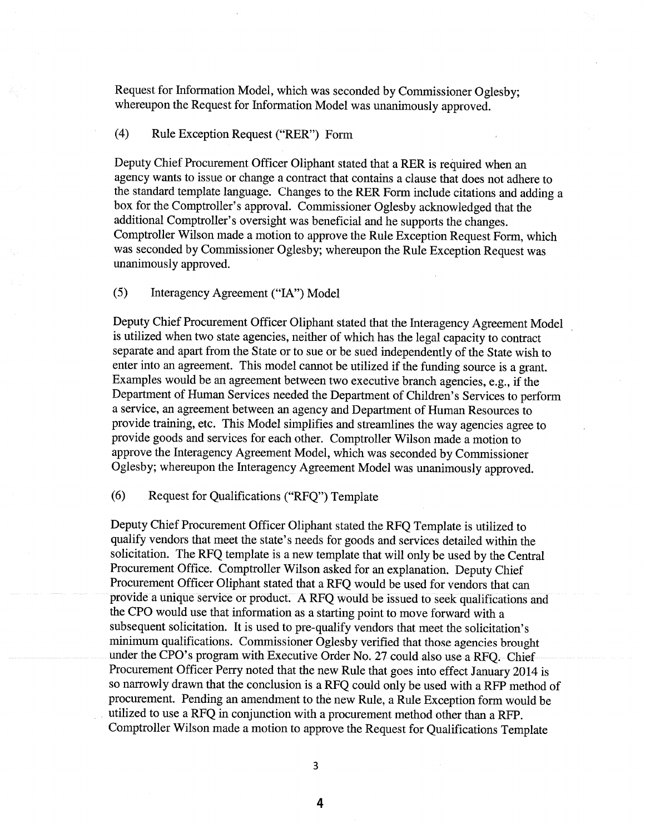Request for Information Model, which was seconded by Commissioner Oglesby; whereupon the Request for Information Model was unanimously approved.

#### $(4)$ Rule Exception Request ("RER") Form

Deputy Chief Procurement Officer Oliphant stated that a RER is required when an agency wants to issue or change a contract that contains a clause that does not adhere to the standard template language. Changes to the RER Form include citations and adding a box for the Comptroller's approval. Commissioner Oglesby acknowledged that the additional Comptroller's oversight was beneficial and he supports the changes. Comptroller Wilson made a motion to approve the Rule Exception Request Form, which was seconded by Commissioner Oglesby; whereupon the Rule Exception Request was unanimously approved.

#### $(5)$ Interagency Agreement ("IA") Model

Deputy Chief Procurement Officer Oliphant stated that the Interagency Agreement Model is utilized when two state agencies, neither of which has the legal capacity to contract separate and apart from the State or to sue or be sued independently of the State wish to enter into an agreement. This model cannot be utilized if the funding source is a grant. Examples would be an agreement between two executive branch agencies, e.g., if the Department of Human Services needed the Department of Children's Services to perform a service, an agreement between an agency and Department of Human Resources to provide training, etc. This Model simplifies and streamlines the way agencies agree to provide goods and services for each other. Comptroller Wilson made a motion to approve the Interagency Agreement Model, which was seconded by Commissioner Oglesby; whereupon the Interagency Agreement Model was unanimously approved.

#### $(6)$ Request for Qualifications ("RFQ") Template

Deputy Chief Procurement Officer Oliphant stated the RFQ Template is utilized to qualify vendors that meet the state's needs for goods and services detailed within the solicitation. The RFQ template is a new template that will only be used by the Central Procurement Office. Comptroller Wilson asked for an explanation. Deputy Chief Procurement Officer Oliphant stated that a RFQ would be used for vendors that can provide a unique service or product. A RFQ would be issued to seek qualifications and the CPO would use that information as a starting point to move forward with a subsequent solicitation. It is used to pre-qualify vendors that meet the solicitation's minimum qualifications. Commissioner Oglesby verified that those agencies brought under the CPO's program with Executive Order No. 27 could also use a RFO. Chief Procurement Officer Perry noted that the new Rule that goes into effect January 2014 is so narrowly drawn that the conclusion is a RFQ could only be used with a RFP method of procurement. Pending an amendment to the new Rule, a Rule Exception form would be utilized to use a RFQ in conjunction with a procurement method other than a RFP. Comptroller Wilson made a motion to approve the Request for Qualifications Template

3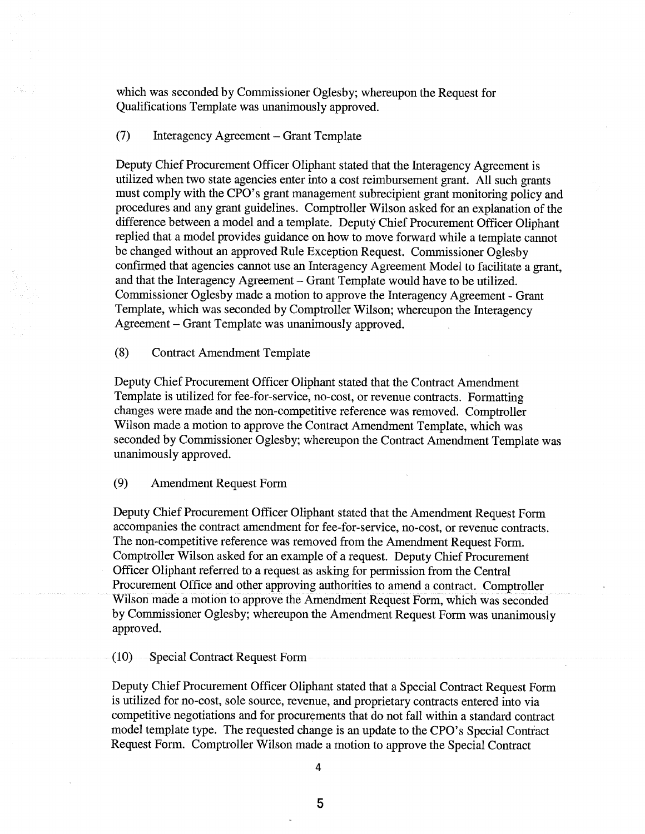which was seconded by Commissioner Oglesby; whereupon the Request for Qualifications Template was unanimously approved.

#### $(7)$ Interagency Agreement – Grant Template

Deputy Chief Procurement Officer Oliphant stated that the Interagency Agreement is utilized when two state agencies enter into a cost reimbursement grant. All such grants must comply with the CPO's grant management subrecipient grant monitoring policy and procedures and any grant guidelines. Comptroller Wilson asked for an explanation of the difference between a model and a template. Deputy Chief Procurement Officer Oliphant replied that a model provides guidance on how to move forward while a template cannot be changed without an approved Rule Exception Request. Commissioner Oglesby confirmed that agencies cannot use an Interagency Agreement Model to facilitate a grant, and that the Interagency Agreement – Grant Template would have to be utilized. Commissioner Oglesby made a motion to approve the Interagency Agreement - Grant Template, which was seconded by Comptroller Wilson; whereupon the Interagency Agreement – Grant Template was unanimously approved.

 $(8)$ **Contract Amendment Template** 

Deputy Chief Procurement Officer Oliphant stated that the Contract Amendment Template is utilized for fee-for-service, no-cost, or revenue contracts. Formatting changes were made and the non-competitive reference was removed. Comptroller Wilson made a motion to approve the Contract Amendment Template, which was seconded by Commissioner Oglesby; whereupon the Contract Amendment Template was unanimously approved.

 $(9)$ **Amendment Request Form** 

Deputy Chief Procurement Officer Oliphant stated that the Amendment Request Form accompanies the contract amendment for fee-for-service, no-cost, or revenue contracts. The non-competitive reference was removed from the Amendment Request Form. Comptroller Wilson asked for an example of a request. Deputy Chief Procurement Officer Oliphant referred to a request as asking for permission from the Central Procurement Office and other approving authorities to amend a contract. Comptroller Wilson made a motion to approve the Amendment Request Form, which was seconded by Commissioner Oglesby; whereupon the Amendment Request Form was unanimously approved.

 $(10)$ Special Contract Request Form

Deputy Chief Procurement Officer Oliphant stated that a Special Contract Request Form is utilized for no-cost, sole source, revenue, and proprietary contracts entered into via competitive negotiations and for procurements that do not fall within a standard contract model template type. The requested change is an update to the CPO's Special Contract Request Form. Comptroller Wilson made a motion to approve the Special Contract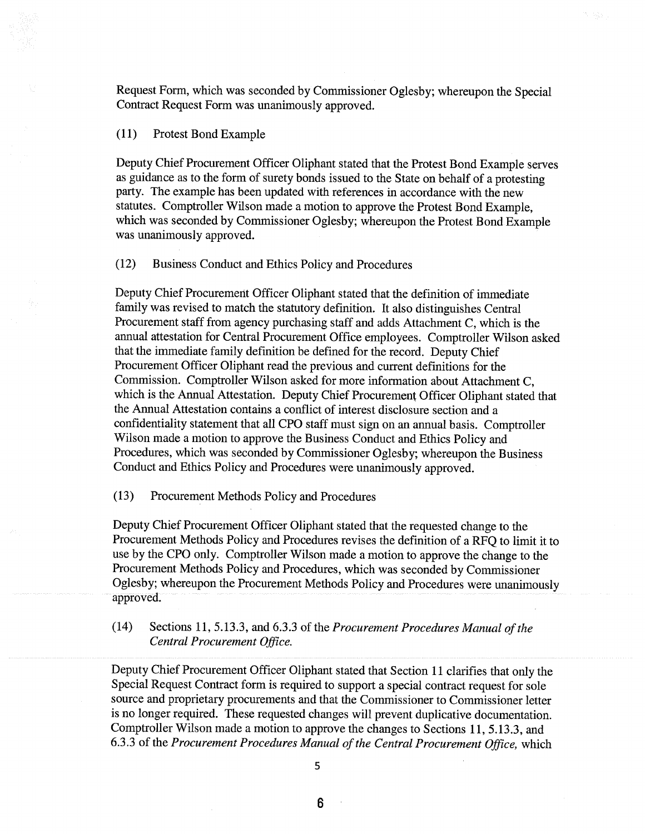Request Form, which was seconded by Commissioner Oglesby; whereupon the Special Contract Request Form was unanimously approved.

#### $(11)$ Protest Bond Example

Deputy Chief Procurement Officer Oliphant stated that the Protest Bond Example serves as guidance as to the form of surety bonds issued to the State on behalf of a protesting party. The example has been updated with references in accordance with the new statutes. Comptroller Wilson made a motion to approve the Protest Bond Example. which was seconded by Commissioner Oglesby; whereupon the Protest Bond Example was unanimously approved.

#### $(12)$ Business Conduct and Ethics Policy and Procedures

Deputy Chief Procurement Officer Oliphant stated that the definition of immediate family was revised to match the statutory definition. It also distinguishes Central Procurement staff from agency purchasing staff and adds Attachment C, which is the annual attestation for Central Procurement Office employees. Comptroller Wilson asked that the immediate family definition be defined for the record. Deputy Chief Procurement Officer Oliphant read the previous and current definitions for the Commission. Comptroller Wilson asked for more information about Attachment C, which is the Annual Attestation. Deputy Chief Procurement Officer Oliphant stated that the Annual Attestation contains a conflict of interest disclosure section and a confidentiality statement that all CPO staff must sign on an annual basis. Comptroller Wilson made a motion to approve the Business Conduct and Ethics Policy and Procedures, which was seconded by Commissioner Oglesby; whereupon the Business Conduct and Ethics Policy and Procedures were unanimously approved.

Procurement Methods Policy and Procedures  $(13)$ 

Deputy Chief Procurement Officer Oliphant stated that the requested change to the Procurement Methods Policy and Procedures revises the definition of a RFQ to limit it to use by the CPO only. Comptroller Wilson made a motion to approve the change to the Procurement Methods Policy and Procedures, which was seconded by Commissioner Oglesby; whereupon the Procurement Methods Policy and Procedures were unanimously approved.

Sections 11, 5.13.3, and 6.3.3 of the Procurement Procedures Manual of the  $(14)$ Central Procurement Office.

Deputy Chief Procurement Officer Oliphant stated that Section 11 clarifies that only the Special Request Contract form is required to support a special contract request for sole source and proprietary procurements and that the Commissioner to Commissioner letter is no longer required. These requested changes will prevent duplicative documentation. Comptroller Wilson made a motion to approve the changes to Sections 11, 5.13.3, and 6.3.3 of the Procurement Procedures Manual of the Central Procurement Office, which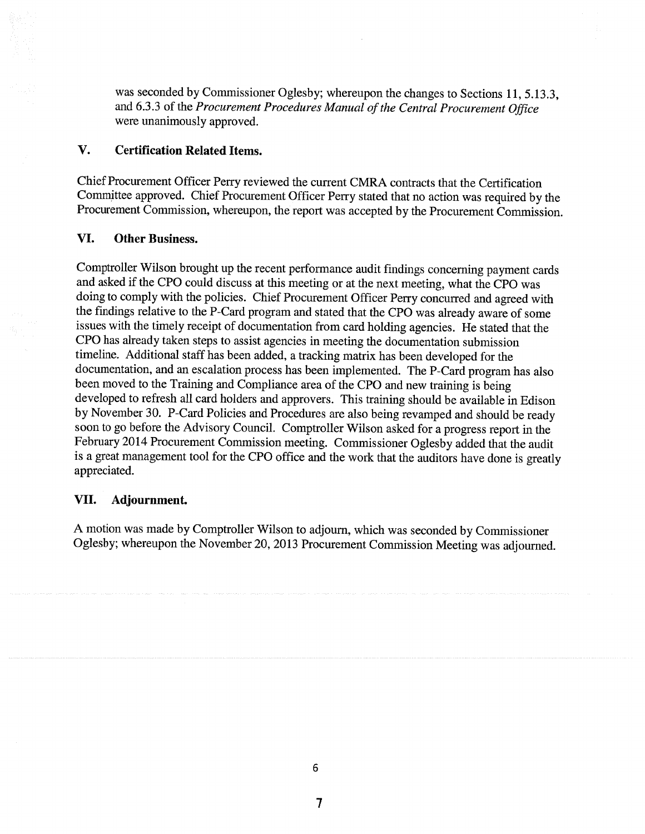was seconded by Commissioner Oglesby; whereupon the changes to Sections 11, 5, 13, 3. and 6.3.3 of the Procurement Procedures Manual of the Central Procurement Office were unanimously approved.

### V. **Certification Related Items.**

Chief Procurement Officer Perry reviewed the current CMRA contracts that the Certification Committee approved. Chief Procurement Officer Perry stated that no action was required by the Procurement Commission, whereupon, the report was accepted by the Procurement Commission.

### VI. **Other Business.**

Comptroller Wilson brought up the recent performance audit findings concerning payment cards and asked if the CPO could discuss at this meeting or at the next meeting, what the CPO was doing to comply with the policies. Chief Procurement Officer Perry concurred and agreed with the findings relative to the P-Card program and stated that the CPO was already aware of some issues with the timely receipt of documentation from card holding agencies. He stated that the CPO has already taken steps to assist agencies in meeting the documentation submission timeline. Additional staff has been added, a tracking matrix has been developed for the documentation, and an escalation process has been implemented. The P-Card program has also been moved to the Training and Compliance area of the CPO and new training is being developed to refresh all card holders and approvers. This training should be available in Edison by November 30. P-Card Policies and Procedures are also being revamped and should be ready soon to go before the Advisory Council. Comptroller Wilson asked for a progress report in the February 2014 Procurement Commission meeting. Commissioner Oglesby added that the audit is a great management tool for the CPO office and the work that the auditors have done is greatly appreciated.

#### VII. Adjournment.

A motion was made by Comptroller Wilson to adjourn, which was seconded by Commissioner Oglesby; whereupon the November 20, 2013 Procurement Commission Meeting was adjourned.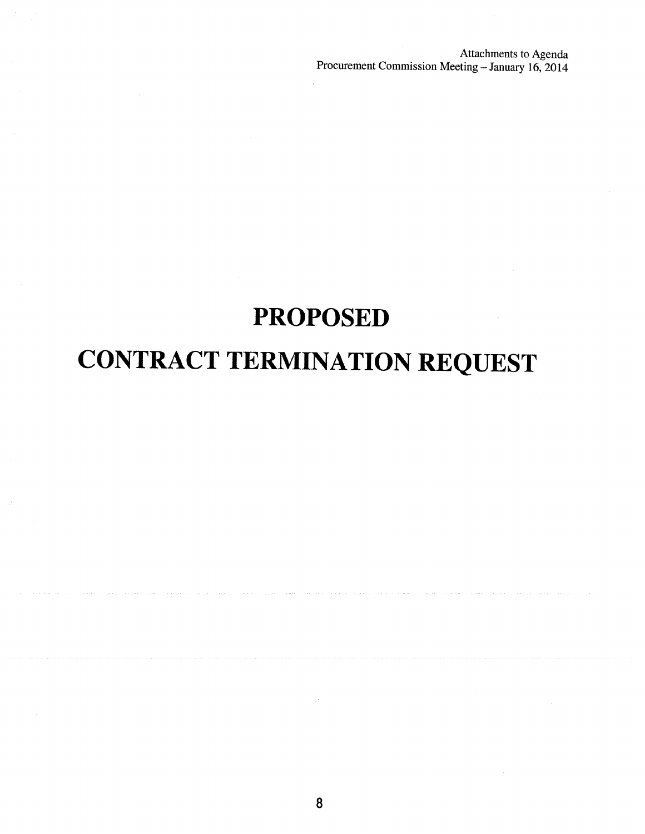Attachments to Agenda Procurement Commission Meeting - January 16, 2014

# **PROPOSED**

# **CONTRACT TERMINATION REQUEST**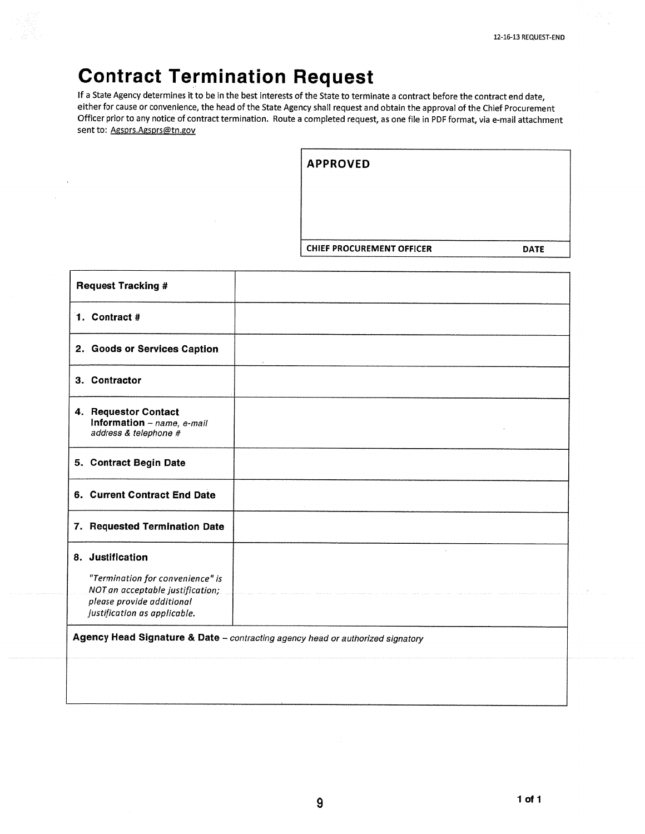# **Contract Termination Request**

If a State Agency determines it to be in the best interests of the State to terminate a contract before the contract end date, either for cause or convenience, the head of the State Agency shall request and obtain the approval of the Chief Procurement Officer prior to any notice of contract termination. Route a completed request, as one file in PDF format, via e-mail attachment sent to: Agsprs.Agsprs@tn.gov

| <b>CHIEF PROCUREMENT OFFICER</b> | <b>DATE</b> |
|----------------------------------|-------------|

| <b>Request Tracking #</b>                                                                                                                             |  |  |
|-------------------------------------------------------------------------------------------------------------------------------------------------------|--|--|
| 1. Contract #                                                                                                                                         |  |  |
| 2. Goods or Services Caption                                                                                                                          |  |  |
| 3. Contractor                                                                                                                                         |  |  |
| 4. Requestor Contact<br>Information - name, e-mail<br>address & telephone #                                                                           |  |  |
| 5. Contract Begin Date                                                                                                                                |  |  |
| 6. Current Contract End Date                                                                                                                          |  |  |
| 7. Requested Termination Date                                                                                                                         |  |  |
| 8. Justification<br>"Termination for convenience" is<br>NOT an acceptable justification;<br>please provide additional<br>justification as applicable. |  |  |
| Agency Head Signature & Date - contracting agency head or authorized signatory                                                                        |  |  |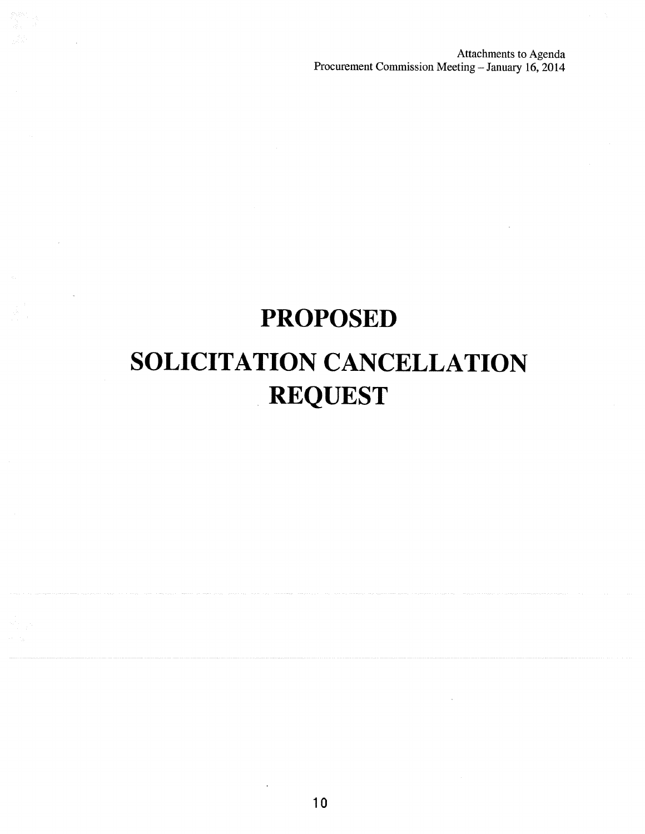Attachments to Agenda<br>Procurement Commission Meeting - January 16, 2014

# **PROPOSED**

# SOLICITATION CANCELLATION **REQUEST**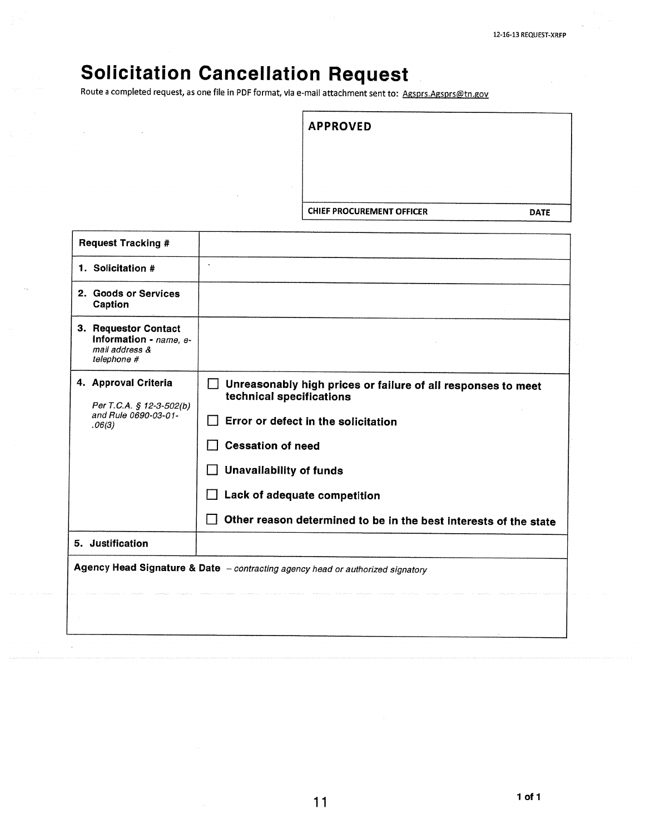# **Solicitation Cancellation Request**

 $\overline{a}$ 

Route a completed request, as one file in PDF format, via e-mail attachment sent to: Agsprs.Agsprs@tn.gov

| <b>APPROVED</b>                  |             |
|----------------------------------|-------------|
|                                  |             |
|                                  |             |
|                                  |             |
|                                  |             |
| <b>CHIEF PROCUREMENT OFFICER</b> | <b>DATE</b> |

| <b>Request Tracking #</b>                                                          |                                                                                                                                                                                                                                                                                                                     |  |
|------------------------------------------------------------------------------------|---------------------------------------------------------------------------------------------------------------------------------------------------------------------------------------------------------------------------------------------------------------------------------------------------------------------|--|
| 1. Solicitation #                                                                  | $\tilde{\phantom{a}}$                                                                                                                                                                                                                                                                                               |  |
| 2. Goods or Services<br>Caption                                                    |                                                                                                                                                                                                                                                                                                                     |  |
| 3. Requestor Contact<br>Information - name, e-<br>mail address &<br>telephone #    |                                                                                                                                                                                                                                                                                                                     |  |
| 4. Approval Criteria<br>Per T.C.A. § 12-3-502(b)<br>and Rule 0690-03-01-<br>.06(3) | Unreasonably high prices or failure of all responses to meet<br>technical specifications<br>Error or defect in the solicitation<br><b>Cessation of need</b><br><b>Unavailability of funds</b><br>Lack of adequate competition<br>$\blacksquare$<br>Other reason determined to be in the best interests of the state |  |
| 5. Justification                                                                   |                                                                                                                                                                                                                                                                                                                     |  |
| Agency Head Signature & Date - contracting agency head or authorized signatory     |                                                                                                                                                                                                                                                                                                                     |  |
|                                                                                    |                                                                                                                                                                                                                                                                                                                     |  |
|                                                                                    |                                                                                                                                                                                                                                                                                                                     |  |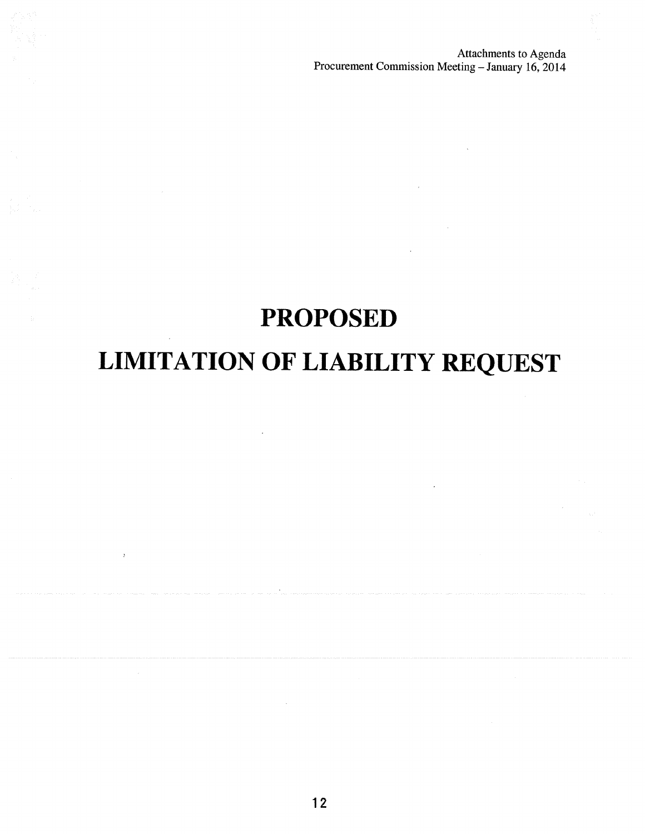Attachments to Agenda<br>Procurement Commission Meeting - January 16, 2014

# **PROPOSED LIMITATION OF LIABILITY REQUEST**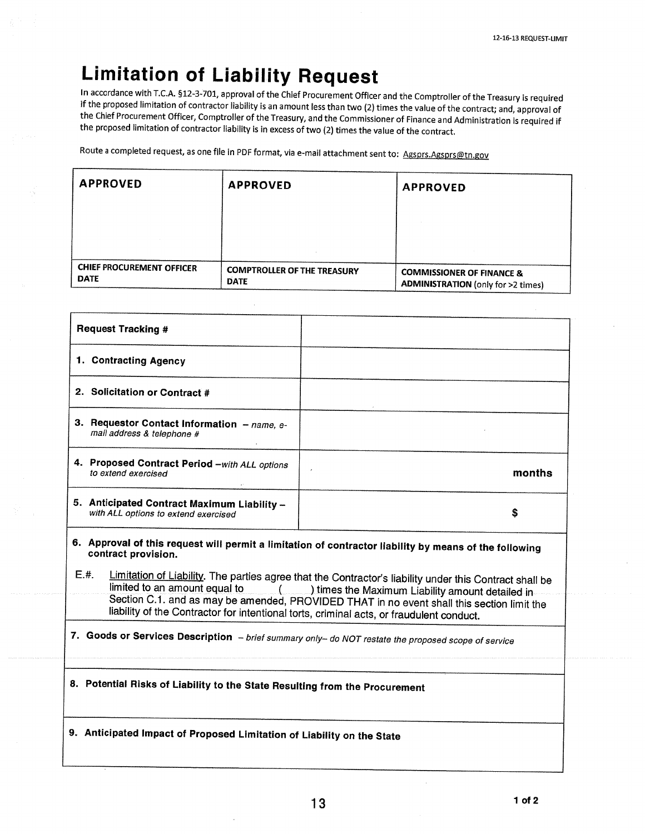# **Limitation of Liability Request**

In accordance with T.C.A. §12-3-701, approval of the Chief Procurement Officer and the Comptroller of the Treasury is required if the proposed limitation of contractor liability is an amount less than two (2) times the value of the contract; and, approval of the Chief Procurement Officer, Comptroller of the Treasury, and the Commissioner of Finance and Administration is required if the proposed limitation of contractor liability is in excess of two (2) times the value of the contract.

Route a completed request, as one file in PDF format, via e-mail attachment sent to: Agsprs.Agsprs@tn.gov

| <b>APPROVED</b>                                 | <b>APPROVED</b>                                   | <b>APPROVED</b>                                                                   |
|-------------------------------------------------|---------------------------------------------------|-----------------------------------------------------------------------------------|
|                                                 |                                                   |                                                                                   |
|                                                 |                                                   |                                                                                   |
| <b>CHIEF PROCUREMENT OFFICER</b><br><b>DATE</b> | <b>COMPTROLLER OF THE TREASURY</b><br><b>DATE</b> | <b>COMMISSIONER OF FINANCE &amp;</b><br><b>ADMINISTRATION</b> (only for >2 times) |

| <b>Request Tracking #</b>                                                                                                     |        |  |
|-------------------------------------------------------------------------------------------------------------------------------|--------|--|
| 1. Contracting Agency                                                                                                         |        |  |
| 2. Solicitation or Contract #                                                                                                 |        |  |
| 3. Requestor Contact Information - name, e-<br>mail address & telephone #                                                     |        |  |
| 4. Proposed Contract Period -with ALL options<br>to extend exercised                                                          | months |  |
| 5. Anticipated Contract Maximum Liability -<br>with ALL options to extend exercised                                           | S      |  |
| 6. Approval of this request will permit a limitation of contractor liability by means of the following<br>contract provision. |        |  |
| r "<br>والمستنقص والمستنقص والمستنقص والمستنقص والمستلف والمستنقص والمستنقص والمستنقص والمستنقص والمستنقص والمتعارض والمتعارض |        |  |

Limitation of Liability. The parties agree that the Contractor's liability under this Contract shall be **仁.**#. limited to an amount equal to  $\overline{\phantom{a}}$ ) times the Maximum Liability amount detailed in Section C.1. and as may be amended, PROVIDED THAT in no event shall this section limit the liability of the Contractor for intentional torts, criminal acts, or fraudulent conduct.

7. Goods or Services Description - brief summary only- do NOT restate the proposed scope of service

8. Potential Risks of Liability to the State Resulting from the Procurement

9. Anticipated Impact of Proposed Limitation of Liability on the State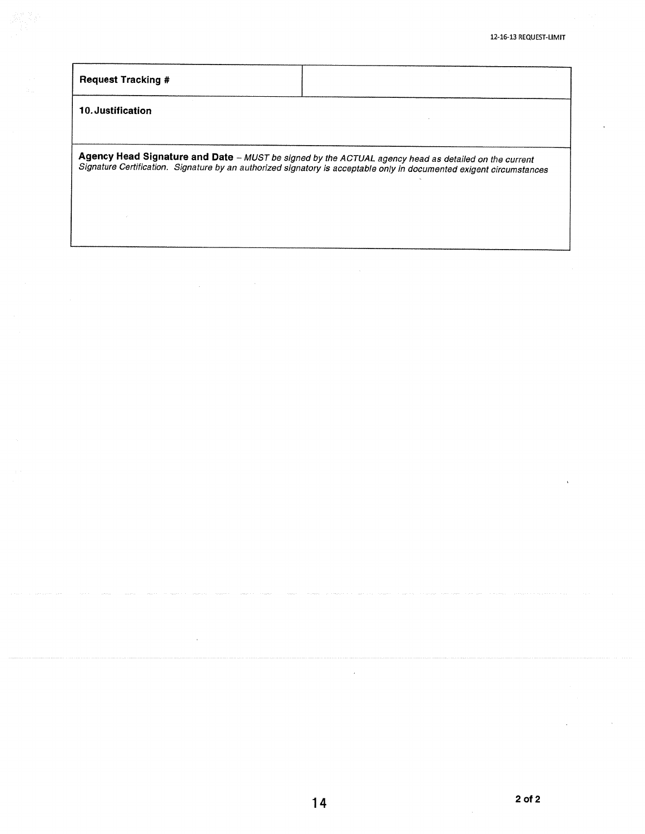| <b>Request Tracking #</b> |                                                                                                                                                                                                                              |
|---------------------------|------------------------------------------------------------------------------------------------------------------------------------------------------------------------------------------------------------------------------|
| 10. Justification         |                                                                                                                                                                                                                              |
|                           | Agency Head Signature and Date - MUST be signed by the ACTUAL agency head as detailed on the current<br>Signature Certification. Signature by an authorized signatory is acceptable only in documented exigent circumstances |

l,

 $\hat{\mathcal{A}}$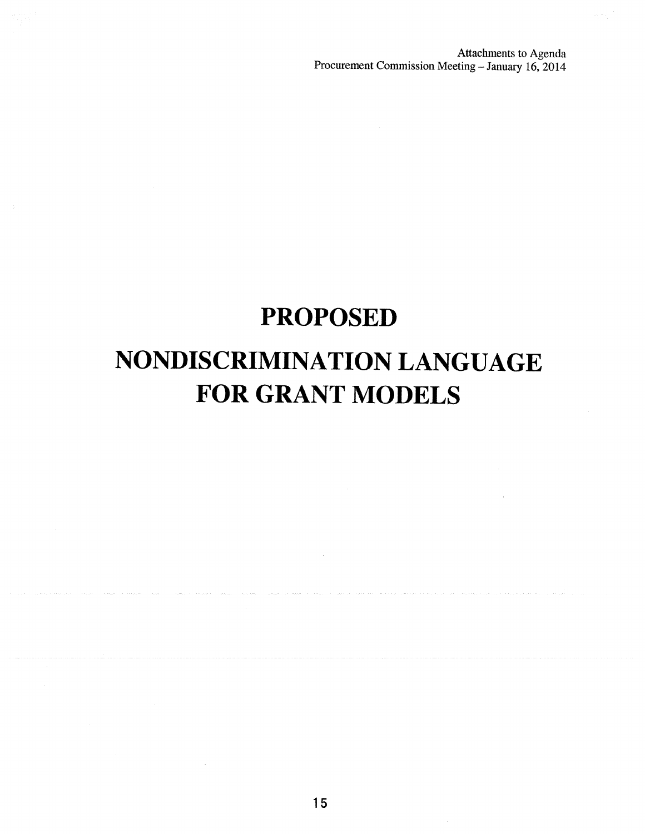Attachments to Agenda<br>Procurement Commission Meeting - January 16, 2014

# **PROPOSED** NONDISCRIMINATION LANGUAGE **FOR GRANT MODELS**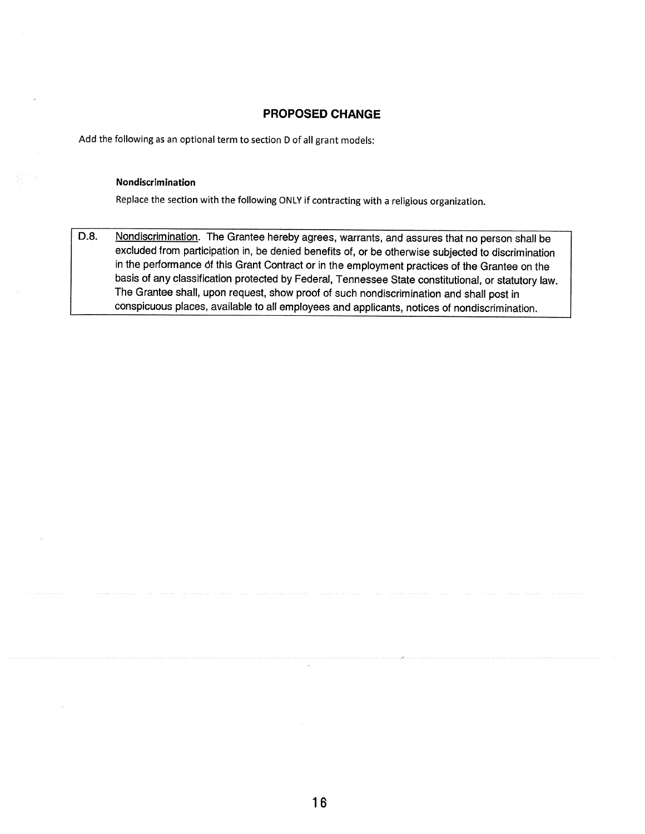## **PROPOSED CHANGE**

Add the following as an optional term to section D of all grant models:

### Nondiscrimination

Replace the section with the following ONLY if contracting with a religious organization.

D.8. Nondiscrimination. The Grantee hereby agrees, warrants, and assures that no person shall be excluded from participation in, be denied benefits of, or be otherwise subjected to discrimination in the performance of this Grant Contract or in the employment practices of the Grantee on the basis of any classification protected by Federal, Tennessee State constitutional, or statutory law. The Grantee shall, upon request, show proof of such nondiscrimination and shall post in conspicuous places, available to all employees and applicants, notices of nondiscrimination.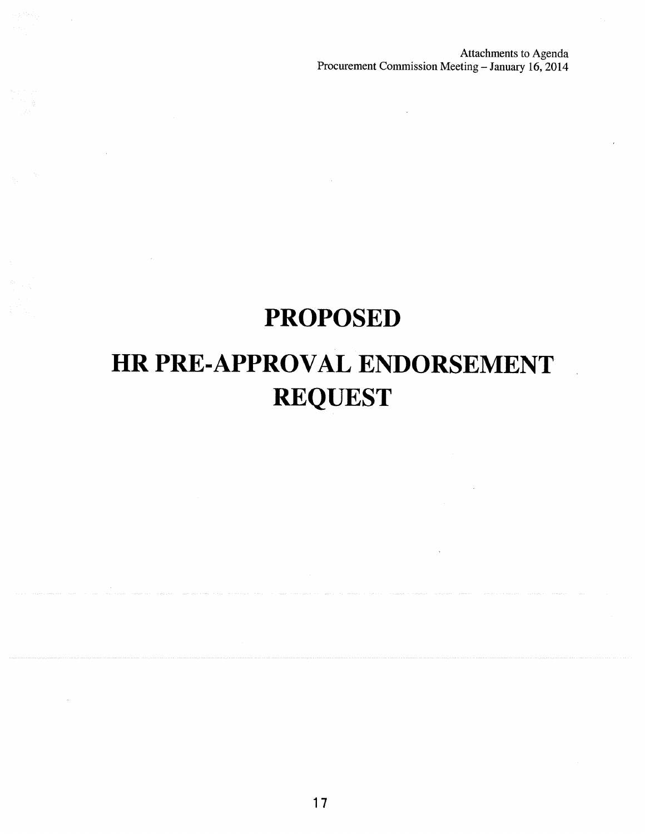Attachments to Agenda Procurement Commission Meeting - January 16, 2014

# **PROPOSED**

# HR PRE-APPROVAL ENDORSEMENT **REQUEST**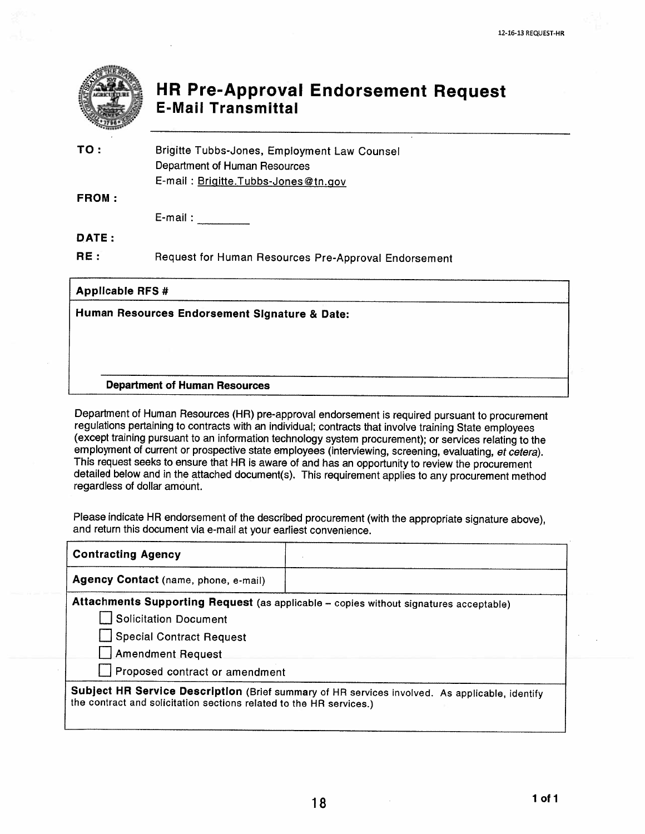

# **HR Pre-Approval Endorsement Request E-Mail Transmittal**

| TO :         | Brigitte Tubbs-Jones, Employment Law Counsel |
|--------------|----------------------------------------------|
|              | Department of Human Resources                |
|              | E-mail: Brigitte.Tubbs-Jones@tn.gov          |
| <b>FROM:</b> |                                              |

E-mail: E-mail:

DATE:

 $RE:$ Request for Human Resources Pre-Approval Endorsement

**Applicable RFS #** 

## Human Resources Endorsement Signature & Date:

### **Department of Human Resources**

Department of Human Resources (HR) pre-approval endorsement is required pursuant to procurement regulations pertaining to contracts with an individual; contracts that involve training State employees (except training pursuant to an information technology system procurement); or services relating to the employment of current or prospective state employees (interviewing, screening, evaluating, et cetera). This request seeks to ensure that HR is aware of and has an opportunity to review the procurement detailed below and in the attached document(s). This requirement applies to any procurement method regardless of dollar amount.

Please indicate HR endorsement of the described procurement (with the appropriate signature above), and return this document via e-mail at your earliest convenience.

| <b>Contracting Agency</b>                                                                                                                                             |  |  |
|-----------------------------------------------------------------------------------------------------------------------------------------------------------------------|--|--|
| Agency Contact (name, phone, e-mail)                                                                                                                                  |  |  |
| Attachments Supporting Request (as applicable - copies without signatures acceptable)                                                                                 |  |  |
| Solicitation Document                                                                                                                                                 |  |  |
| Special Contract Request                                                                                                                                              |  |  |
| <b>Amendment Request</b>                                                                                                                                              |  |  |
| Proposed contract or amendment                                                                                                                                        |  |  |
| Subject HR Service Description (Brief summary of HR services involved. As applicable, identify<br>the contract and solicitation sections related to the HR services.) |  |  |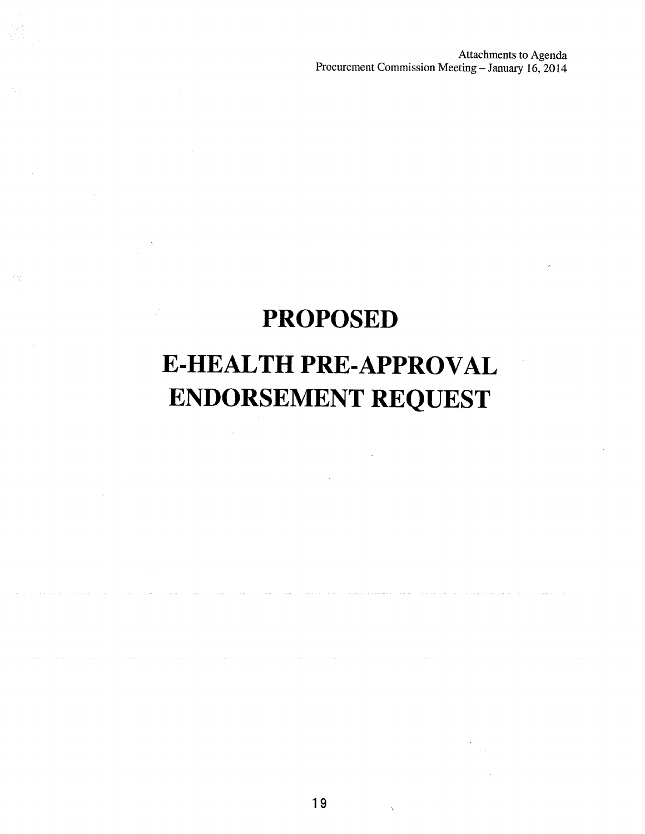Attachments to Agenda<br>Procurement Commission Meeting - January 16, 2014

# **PROPOSED** E-HEALTH PRE-APPROVAL **ENDORSEMENT REQUEST**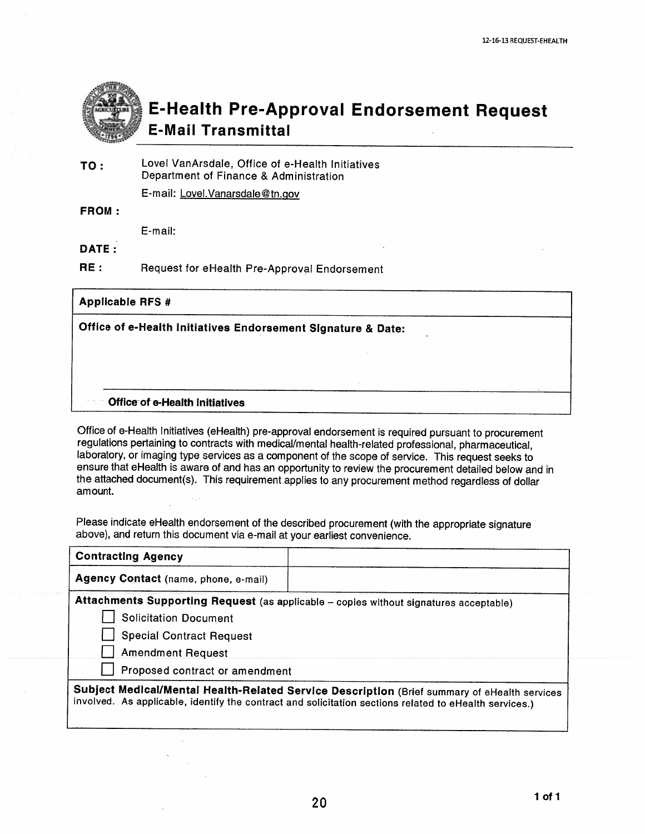

# **E-Health Pre-Approval Endorsement Request E-Mail Transmittal**

Lovel VanArsdale, Office of e-Health Initiatives TO: Department of Finance & Administration

E-mail: Lovel. Vanarsdale@tn.gov

**FROM:** 

E-mail:

DATE:

 $RE:$ Request for eHealth Pre-Approval Endorsement

## **Applicable RFS #**

Office of e-Health Initiatives Endorsement Signature & Date:

### Office of e-Health Initiatives

Office of e-Health Initiatives (eHealth) pre-approval endorsement is required pursuant to procurement regulations pertaining to contracts with medical/mental health-related professional, pharmaceutical, laboratory, or imaging type services as a component of the scope of service. This request seeks to ensure that eHealth is aware of and has an opportunity to review the procurement detailed below and in the attached document(s). This requirement applies to any procurement method regardless of dollar amount.

Please indicate eHealth endorsement of the described procurement (with the appropriate signature above), and return this document via e-mail at your earliest convenience.

| <b>Contracting Agency</b>                                                                                                                                                                              |  |  |
|--------------------------------------------------------------------------------------------------------------------------------------------------------------------------------------------------------|--|--|
| Agency Contact (name, phone, e-mail)                                                                                                                                                                   |  |  |
| Attachments Supporting Request (as applicable - copies without signatures acceptable)                                                                                                                  |  |  |
| <b>Solicitation Document</b>                                                                                                                                                                           |  |  |
| <b>Special Contract Request</b>                                                                                                                                                                        |  |  |
| <b>Amendment Request</b>                                                                                                                                                                               |  |  |
| Proposed contract or amendment                                                                                                                                                                         |  |  |
| Subject Medical/Mental Health-Related Service Description (Brief summary of eHealth services<br>involved. As applicable, identify the contract and solicitation sections related to eHealth services.) |  |  |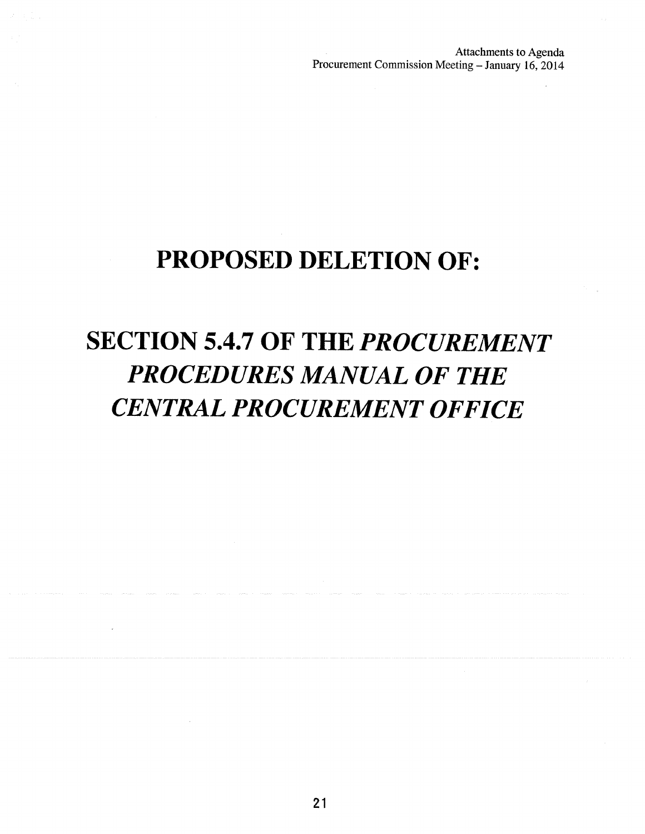Attachments to Agenda Procurement Commission Meeting - January 16, 2014

# PROPOSED DELETION OF:

# **SECTION 5.4.7 OF THE PROCUREMENT PROCEDURES MANUAL OF THE CENTRAL PROCUREMENT OFFICE**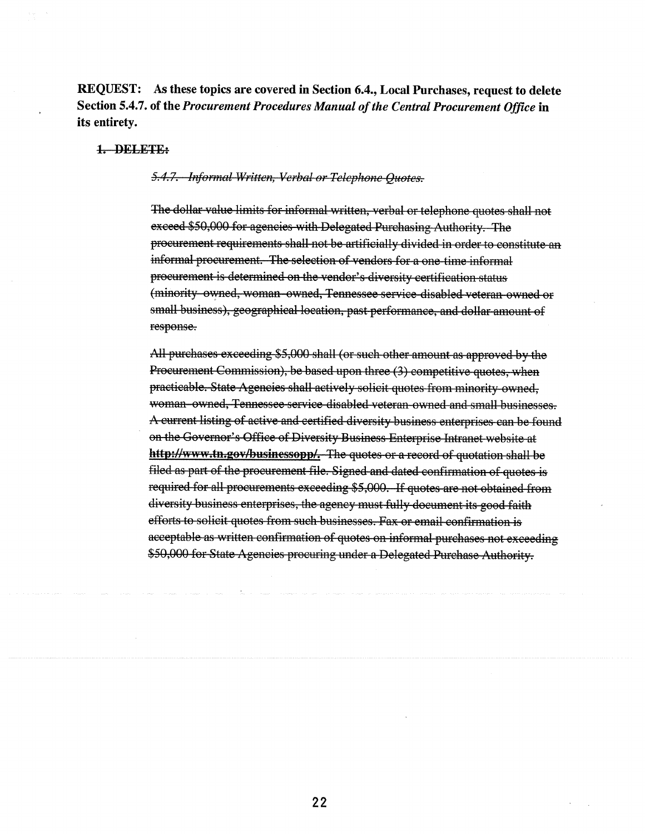REQUEST: As these topics are covered in Section 6.4., Local Purchases, request to delete Section 5.4.7. of the Procurement Procedures Manual of the Central Procurement Office in its entirety.

### 1. DELETE:

## 5.4.7. Informal Written, Verbal or Telephone Quotes.

The dollar value limits for informal written, verbal or telephone quotes shall not exceed \$50,000 for agencies with Delegated Purchasing Authority. The procurement requirements shall not be artificially divided in order to constitute an informal procurement. The selection of vendors for a one-time informal procurement is determined on the vendor's diversity certification status (minority owned, woman owned, Tennessee service disabled veteran owned or small business), geographical location, past performance, and dollar amount of response.

All purchases exceeding \$5,000 shall (or such other amount as approved by the Procurement Commission), be based upon three (3) competitive quotes, when practicable. State Agencies shall actively solicit quotes from minority owned, woman owned, Tennessee service disabled veteran owned and small businesses. A current listing of active and certified diversity business enterprises can be found on the Governor's Office of Diversity Business Enterprise Intranet website at http://www.tn.gov/businessopp/. The quotes or a record of quotation shall be filed as part of the procurement file. Signed and dated confirmation of quotes is required for all procurements exceeding \$5,000. If quotes are not obtained from diversity business enterprises, the agency must fully document its good faith efforts to solicit quotes from such businesses. Fax or email confirmation is acceptable as written confirmation of quotes on informal purchases not exceeding \$50,000 for State Agencies procuring under a Delegated Purchase Authority.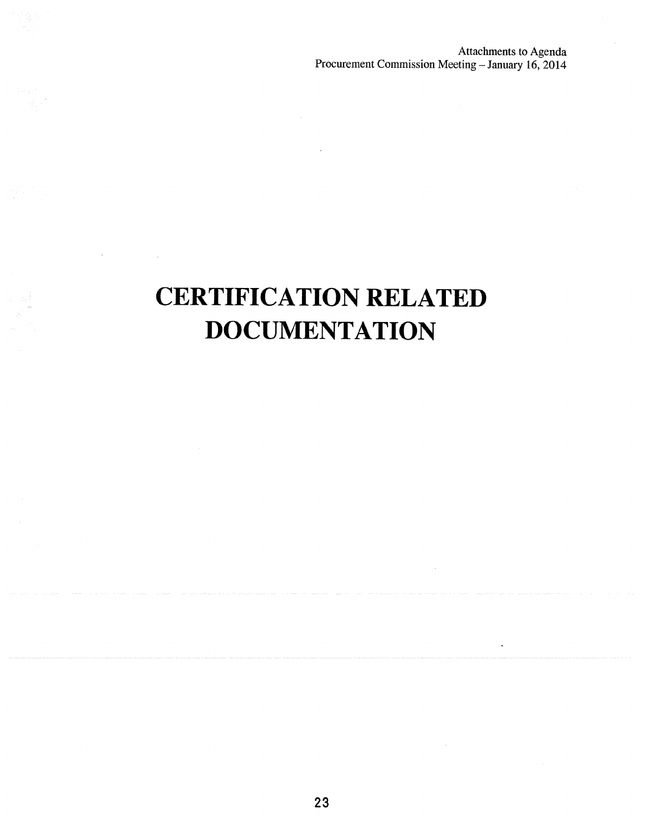$\dot{\mathbf{z}}$ 

# **CERTIFICATION RELATED DOCUMENTATION**

 $\mathcal{A}^{\mathcal{A}}$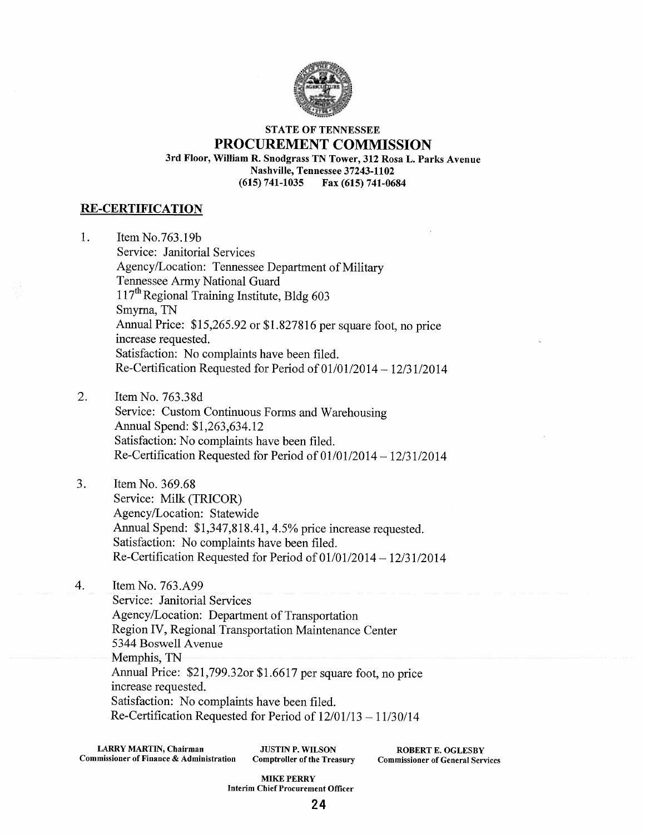

### **STATE OF TENNESSEE** PROCUREMENT COMMISSION 3rd Floor, William R. Snodgrass TN Tower, 312 Rosa L. Parks Avenue Nashville, Tennessee 37243-1102  $(615) 741 - 1035$ Fax (615) 741-0684

## **RE-CERTIFICATION**

1. Item No.763.19b Service: Janitorial Services Agency/Location: Tennessee Department of Military Tennessee Army National Guard 117<sup>th</sup> Regional Training Institute, Bldg 603 Smyrna, TN Annual Price: \$15,265.92 or \$1.827816 per square foot, no price increase requested. Satisfaction: No complaints have been filed. Re-Certification Requested for Period of 01/01/2014 - 12/31/2014

2. Item No. 763.38d

Service: Custom Continuous Forms and Warehousing Annual Spend: \$1,263,634.12 Satisfaction: No complaints have been filed. Re-Certification Requested for Period of 01/01/2014 - 12/31/2014

3. Item No. 369.68 Service: Milk (TRICOR) Agency/Location: Statewide Annual Spend: \$1,347,818.41, 4.5% price increase requested. Satisfaction: No complaints have been filed. Re-Certification Requested for Period of  $01/01/2014 - 12/31/2014$ 

4. Item No. 763.A99 Service: Janitorial Services Agency/Location: Department of Transportation Region IV, Regional Transportation Maintenance Center 5344 Boswell Avenue Memphis, TN Annual Price: \$21,799.32or \$1.6617 per square foot, no price increase requested. Satisfaction: No complaints have been filed. Re-Certification Requested for Period of  $12/01/13 - 11/30/14$ 

**LARRY MARTIN, Chairman** Commissioner of Finance & Administration

**JUSTIN P. WILSON Comptroller of the Treasury** 

**ROBERT E. OGLESBY Commissioner of General Services** 

**MIKE PERRY Interim Chief Procurement Officer**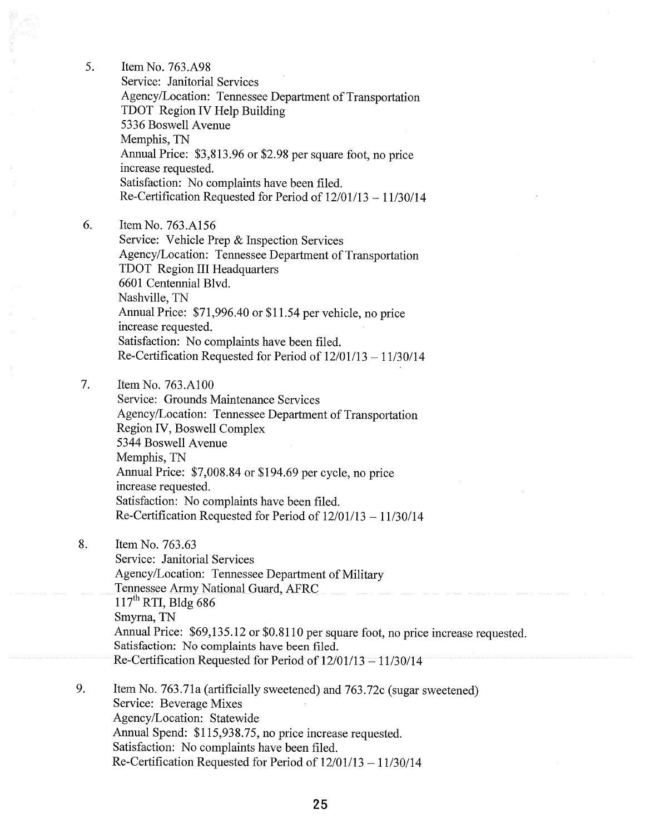$5<sub>1</sub>$ 

Item No. 763.A98 Service: Janitorial Services Agency/Location: Tennessee Department of Transportation TDOT Region IV Help Building 5336 Boswell Avenue Memphis, TN Annual Price: \$3,813.96 or \$2.98 per square foot, no price increase requested. Satisfaction: No complaints have been filed. Re-Certification Requested for Period of  $12/01/13 - 11/30/14$ 

6. Item No. 763.A156

> Service: Vehicle Prep & Inspection Services Agency/Location: Tennessee Department of Transportation **TDOT** Region III Headquarters 6601 Centennial Blvd. Nashville, TN Annual Price: \$71,996.40 or \$11.54 per vehicle, no price increase requested. Satisfaction: No complaints have been filed. Re-Certification Requested for Period of  $12/01/13 - 11/30/14$

7. Item No. 763.A100

Service: Grounds Maintenance Services Agency/Location: Tennessee Department of Transportation Region IV, Boswell Complex 5344 Boswell Avenue Memphis, TN Annual Price: \$7,008.84 or \$194.69 per cycle, no price increase requested. Satisfaction: No complaints have been filed. Re-Certification Requested for Period of 12/01/13 - 11/30/14

8. Item No. 763.63

> Service: Janitorial Services Agency/Location: Tennessee Department of Military Tennessee Army National Guard, AFRC  $117<sup>th</sup>$  RTI, Bldg 686 Smyrna, TN Annual Price: \$69,135.12 or \$0.8110 per square foot, no price increase requested. Satisfaction: No complaints have been filed. Re-Certification Requested for Period of  $12/01/13 - 11/30/14$

9. Item No. 763.71a (artificially sweetened) and 763.72c (sugar sweetened) Service: Beverage Mixes Agency/Location: Statewide Annual Spend: \$115,938.75, no price increase requested. Satisfaction: No complaints have been filed. Re-Certification Requested for Period of  $12/01/13 - 11/30/14$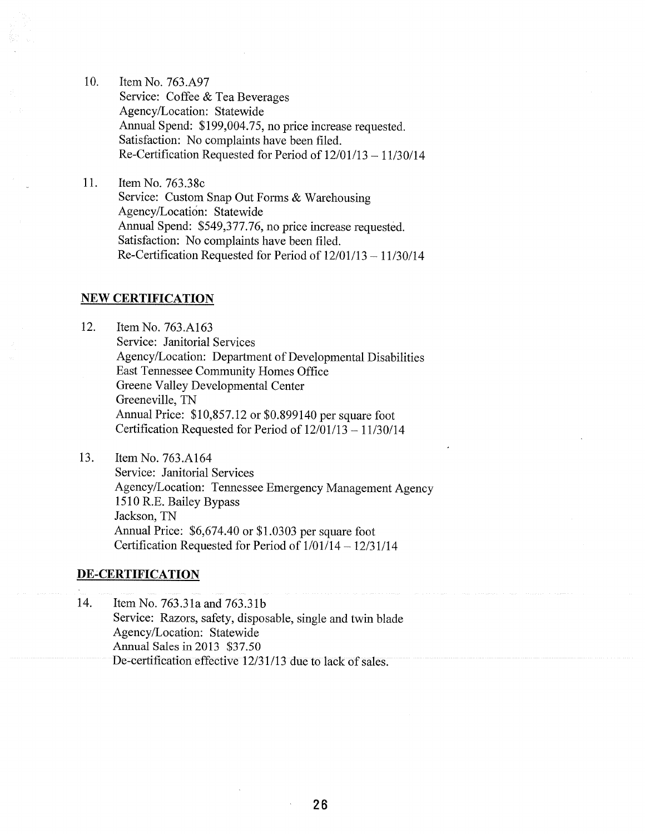10. Item No. 763.A97 Service: Coffee & Tea Beverages Agency/Location: Statewide Annual Spend: \$199,004.75, no price increase requested. Satisfaction: No complaints have been filed. Re-Certification Requested for Period of  $12/01/13 - 11/30/14$ 

11. Item No. 763.38c Service: Custom Snap Out Forms & Warehousing Agency/Location: Statewide Annual Spend: \$549,377.76, no price increase requested. Satisfaction: No complaints have been filed. Re-Certification Requested for Period of  $12/01/13 - 11/30/14$ 

### **NEW CERTIFICATION**

12. Item No. 763.A163 Service: Janitorial Services Agency/Location: Department of Developmental Disabilities East Tennessee Community Homes Office Greene Valley Developmental Center Greeneville, TN Annual Price: \$10,857.12 or \$0.899140 per square foot Certification Requested for Period of  $12/01/13 - 11/30/14$ 

13. Item No. 763.A164 Service: Janitorial Services Agency/Location: Tennessee Emergency Management Agency 1510 R.E. Bailey Bypass Jackson, TN Annual Price: \$6,674.40 or \$1.0303 per square foot Certification Requested for Period of  $1/01/14 - 12/31/14$ 

### **DE-CERTIFICATION**

14. Item No. 763.31a and 763.31b Service: Razors, safety, disposable, single and twin blade Agency/Location: Statewide Annual Sales in 2013 \$37.50 De-certification effective 12/31/13 due to lack of sales.